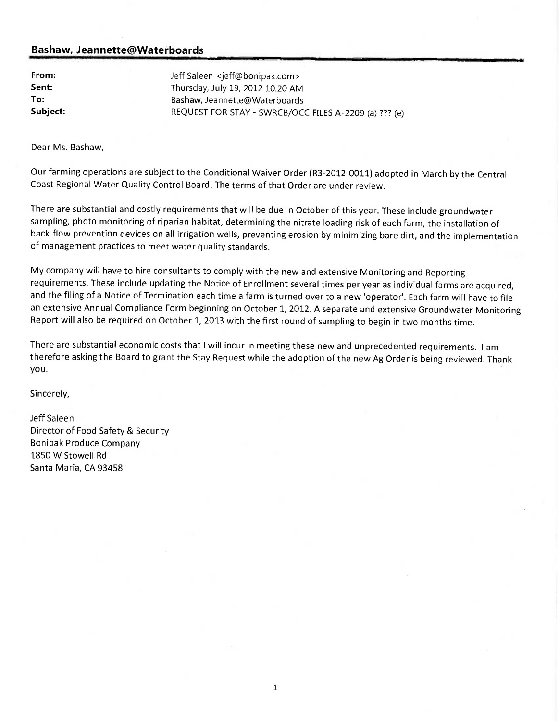From: Jeff Saleen <jeff@bonipak.com> **Sent:** Thursday, July 19, 2012 10:20 AM To: Bashaw, Jeannette@Waterboards Subject: REQUEST FOR STAY - SWRCB/OCC FILES A-2209 (a) ??? (e)

Dear Ms. Bashaw,

Our farming operations are subject to the Conditional Waiver Order (R3-2012-0011) adopted in March by the Central Coast Regional Water Quality Control Board. The terms of that Order are under review.

There are substantial and costly requirements that will be due in October of this year. These include groundwater sampling, photo monitoring of riparian habitat, determining the nitrate loading risk of each farm, the installation of back-flow prevention devices on all irrigation wells, preventing erosion by minimizing bare dirt, and the implementation of management practices to meet water quality standards.

My company will have to hire consultants to comply with the new and extensive Monitoring and Reporting requirements. These include updating the Notice of Enrollment several times per year as individual farms are acquired, and the filing of a Notice of Termination each time a farm is turned over to a new 'operator'. Each farm will have to file an extensive Annual Compliance Form beginning on October 1, 2012. A separate and extensive Groundwater Monitoring Report will also be required on October 1, 2013 with the first round of sampling to begin in two months time.

There are substantial economic costs that I will incur in meeting these new and unprecedented requirements. I am therefore asking the Board to grant the Stay Request while the adoption of the new Ag Order is being reviewed. Thank you.

Sincerely,

Jeff Saleen Director of Food Safety & Security Bonipak Produce Company 1850 W Stowell Rd Santa Maria, CA 93458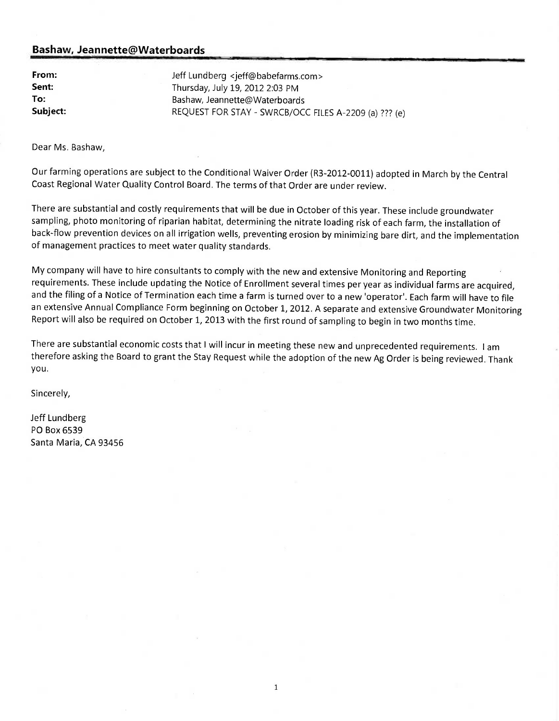| From:    |
|----------|
| Sent:    |
| To:      |
| Subject: |

Jeff Lundberg <jeff@babefarms.com> Thursday, July 19, 2012 2:03 PM Bashaw, Jeannette@Waterboards REQUEST FOR STAY - SWRCB/OCC FILES A-2209 (a) ??? (e)

Dear Ms. Bashaw,

Our farming operations are subject to the Conditional Waiver Order (R3-2012-0011) adopted in March by the Central Coast Regional Water Quality Control Board. The terms of that Order are under review.

There are substantial and costly requirements that will be due in October of this year. These include groundwater sampling, photo monitoring of riparian habitat, determining the nitrate loading risk of each farm, the installation of back-flow prevention devices on all irrigation wells, preventing erosion by minimizing bare dirt, and the implementation of management practices to meet water quality standards.

My company will have to hire consultants to comply with the new and extensive Monitoring and Reporting requirements. These include updating the Notice of Enrollment several times per year as individual farms are acquired, and the filing of a Notice of Termination each time a farm is turned over to a new 'operator'. Each farm will have to file an extensive Annual Compliance Form beginning on October 1, 2012. A separate and extensive Groundwater Monitoring Report will also be required on October 1, 2013 with the first round of sampling to begin in two months time.

There are substantial economic costs that I will incur in meeting these new and unprecedented requirements. I am therefore asking the Board to grant the Stay Request while the adoption of the new Ag Order is being reviewed. Thank you.

 $\mathbf 1$ 

Sincerely,

Jeff Lundberg PO Box 6539 Santa Maria, CA 93456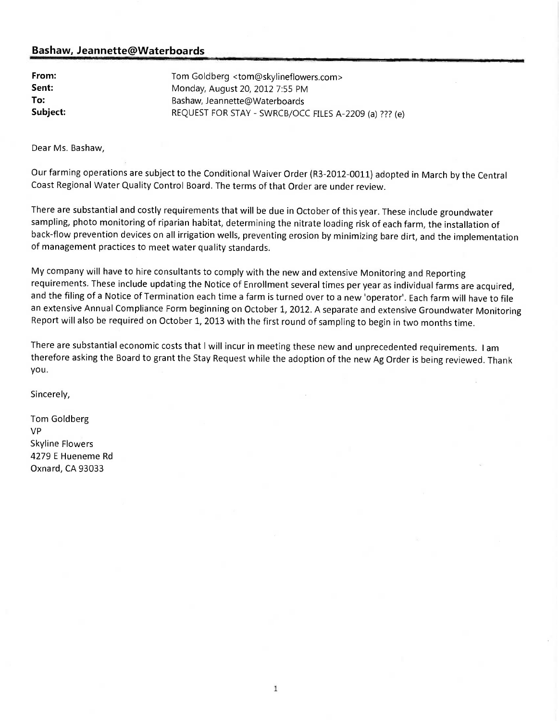From: Tom Goldberg <tom@skylineflowers.com> Sent: Monday, August 20, 2012 7:55 PM To: Bashaw, Jeannette@Waterboards Subject: REQUEST FOR STAY - SWRCB/OCC FILES A-2209 (a) ??? (e)

Dear Ms. Bashaw,

Our farming operations are subject to the Conditional Waiver Order (R3-2012-0011) adopted in March by the Central Coast Regional Water Quality Control Board. The terms of that Order are under review.

There are substantial and costly requirements that will be due in October of this year. These include groundwater sampling, photo monitoring of riparian habitat, determining the nitrate loading risk of each farm, the installation of back-flow prevention devices on all irrigation wells, preventing erosion by minimizing bare dirt, and the implementation of management practices to meet water quality standards.

My company will have to hire consultants to comply with the new and extensive Monitoring and Reporting requirements. These include updating the Notice of Enrollment several times per year as individual farms are acquired, and the filing of a Notice of Termination each time a farm is turned over to a new 'operator'. Each farm will have to file an extensive Annual Compliance Form beginning on October 1, 2012. A separate and extensive Groundwater Monitoring Report will also be required on October 1, 2013 with the first round of sampling to begin in two months time.

There are substantial economic costs that I will incur in meeting these new and unprecedented requirements. I am therefore asking the Board to grant the Stay Request while the adoption of the new Ag Order is being reviewed. Thank you.

Sincerely,

Tom Goldberg VP Skyline Flowers 4279 E Hueneme Rd Oxnard, CA 93033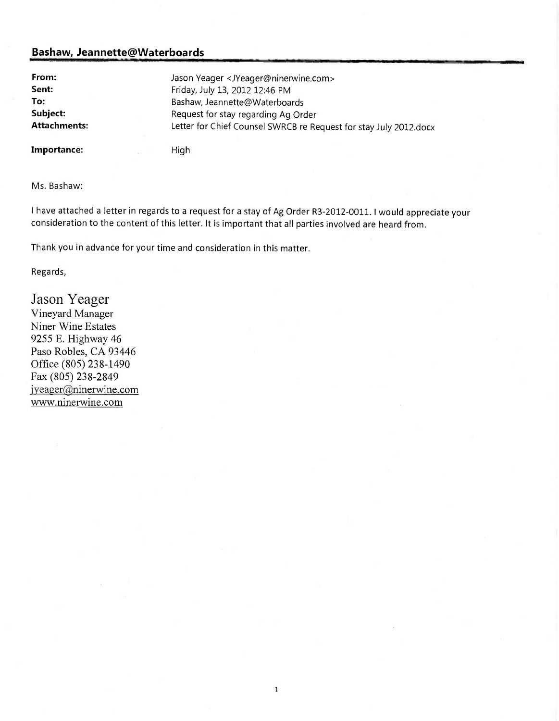| From:               | Jason Yeager <jyeager@ninerwine.com></jyeager@ninerwine.com>      |
|---------------------|-------------------------------------------------------------------|
| Sent:               | Friday, July 13, 2012 12:46 PM                                    |
| To:                 | Bashaw, Jeannette@Waterboards                                     |
| Subject:            | Request for stay regarding Ag Order                               |
| <b>Attachments:</b> | Letter for Chief Counsel SWRCB re Request for stay July 2012.docx |
| Importance:         | High                                                              |

Ms. Bashaw:

I have attached a letter in regards to a request for a stay of Ag Order R3-2012-0011. I would appreciate your consideration to the content of this letter. It is important that all parties involved are heard from.

Thank you in advance for your time and consideration in this matter.

Regards,

Jason Yeager Vineyard Manager Niner Wine Estates 9255 E. Highway 46 Paso Robles, CA 93446 Office (805) 238-1490 Fax (805) 238-2849 jyeager@ninerwine.com www.ninerwine.com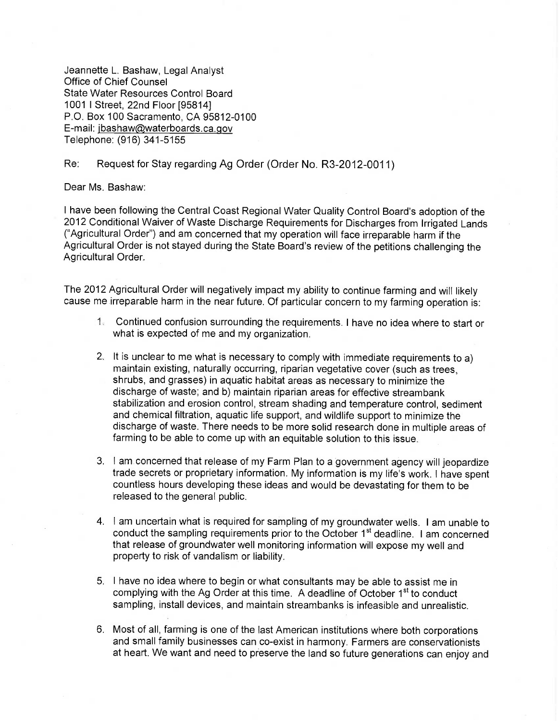Jeannette L. Bashaw, Legal Analyst Office of Chief Counsel State Water Resources Control Board 1001 I Street, 22nd Floor [95814] P.O. Box 100 Sacramento, CA 95812-0100 E-mail: jbashaw@waterboards.ca.gov Telephone: (916) 341-5155

#### Re: Request for Stay regarding Ag Order (Order No. R3-2012-0011)

Dear Ms. Bashaw:

I have been following the Central Coast Regional Water Quality Control Board's adoption of the 2012 Conditional Waiver of Waste Discharge Requirements for Discharges from Irrigated Lands ("Agricultural Order") and am concerned that my operation will face irreparable harm if the Agricultural Order is not stayed during the State Board's review of the petitions challenging the Agricultural Order.

The 2012 Agricultural Order will negatively impact my ability to continue farming and will likely cause me irreparable harm in the near future. Of particular concern to my farming operation is:

- 1. Continued confusion surrounding the requirements. I have no idea where to start or what is expected of me and my organization.
- 2. It is unclear to me what is necessary to comply with immediate requirements to a) maintain existing, naturally occurring, riparian vegetative cover (such as trees, shrubs, and grasses) in aquatic habitat areas as necessary to minimize the discharge of waste; and b) maintain riparian areas for effective streambank stabilization and erosion control, stream shading and temperature control, sediment and chemical filtration, aquatic life support, and wildlife support to minimize the discharge of waste. There needs to be more solid research done in multiple areas of farming to be able to come up with an equitable solution to this issue.
- 3. I am concerned that release of my Farm Plan to a government agency will jeopardize trade secrets or proprietary information. My information is my life's work. I have spent countless hours developing these ideas and would be devastating for them to be released to the general public.
- 4. I am uncertain what is required for sampling of my groundwater wells. I am unable to conduct the sampling requirements prior to the October  $1<sup>st</sup>$  deadline. I am concerned that release of groundwater well monitoring information will expose my well and property to risk of vandalism or liability.
- 5. I have no idea where to begin or what consultants may be able to assist me in complying with the Ag Order at this time. A deadline of October 1<sup>st</sup> to conduct sampling, install devices, and maintain streambanks is infeasible and unrealistic.
- 6. Most of all, farming is one of the last American institutions where both corporations and small family businesses can co-exist in harmony. Farmers are conservationists at heart. We want and need to preserve the land so future generations can enjoy and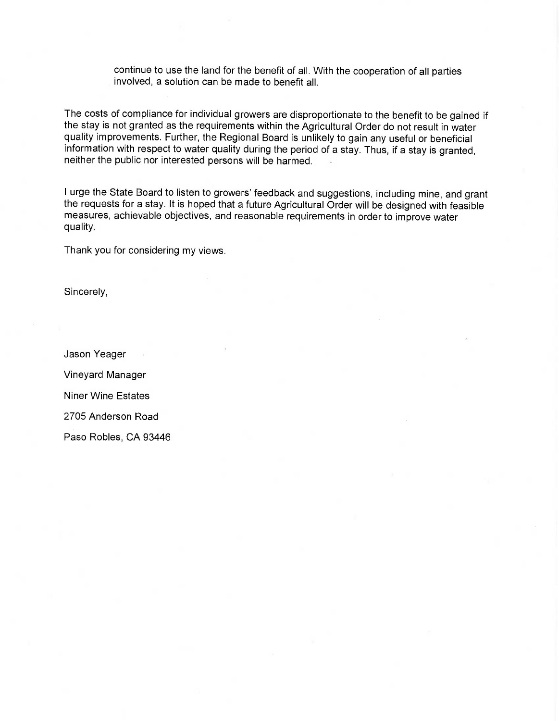continue to use the land for the benefit of all. With the cooperation of all parties involved, a solution can be made to benefit all.

The costs of compliance for individual growers are disproportionate to the benefit to be gained if the stay is not granted as the requirements within the Agricultural Order do not result in water quality improvements. Further, the Regional Board is unlikely to gain any useful or beneficial information with respect to water quality during the period of a stay. Thus, if a stay is granted, neither the public nor interested persons will be harmed.

I urge the State Board to listen to growers' feedback and suggestions, including mine, and grant the requests for a stay. It is hoped that a future Agricultural Order will be designed with feasible measures, achievable objectives, and reasonable requirements in order to improve water quality.

Thank you for considering my views.

Sincerely,

Jason Yeager Vineyard Manager Niner Wine Estates 2705 Anderson Road Paso Robles, CA 93446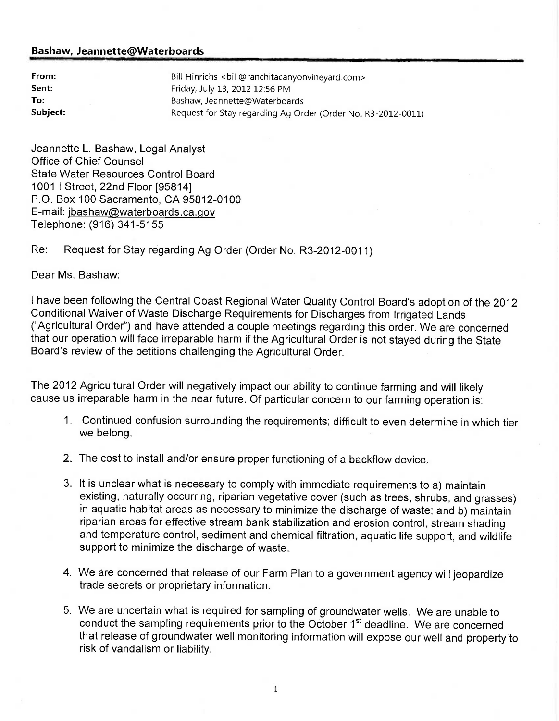| From:    | Bill Hinrichs <bill@ranchitacanyonvineyard.com></bill@ranchitacanyonvineyard.com> |
|----------|-----------------------------------------------------------------------------------|
| Sent:    | Friday, July 13, 2012 12:56 PM                                                    |
| To:      | Bashaw, Jeannette@Waterboards                                                     |
| Subject: | Request for Stay regarding Ag Order (Order No. R3-2012-0011)                      |

Jeannette L. Bashaw, Legal Analyst Office of Chief Counsel State Water Resources Control Board 1001 I Street, 22nd Floor [95814] P.O. Box 100 Sacramento, CA 95812-0100 E-mail: jbashaw@waterboards.ca.gov Telephone: (916) 341-5155

## Re: Request for Stay regarding Ag Order (Order No. R3-2012-0011)

Dear Ms. Bashaw:

I have been following the Central Coast Regional Water Quality Control Board's adoption of the 2012 Conditional Waiver of Waste Discharge Requirements for Discharges from Irrigated Lands ("Agricultural Order") and have attended a couple meetings regarding this order. We are concerned that our operation will face irreparable harm if the Agricultural Order is not stayed during the State Board's review of the petitions challenging the Agricultural Order.

The 2012 Agricultural Order will negatively impact our ability to continue farming and will likely cause us irreparable harm in the near future. Of particular concern to our farming operation is:

- 1. Continued confusion surrounding the requirements; difficult to even determine in which tier we belong.
- 2. The cost to install and/or ensure proper functioning of a backflow device.
- 3. It is unclear what is necessary to comply with immediate requirements to a) maintain existing, naturally occurring, riparian vegetative cover (such as trees, shrubs, and grasses) in aquatic habitat areas as necessary to minimize the discharge of waste; and b) maintain riparian areas for effective stream bank stabilization and erosion control, stream shading and temperature control, sediment and chemical filtration, aquatic life support, and wildlife support to minimize the discharge of waste.
- 4. We are concerned that release of our Farm Plan to a government agency will jeopardize trade secrets or proprietary information.
- 5. We are uncertain what is required for sampling of groundwater wells. We are unable to conduct the sampling requirements prior to the October 1<sup>st</sup> deadline. We are concerned that release of groundwater well monitoring information will expose our well and property to risk of vandalism or liability.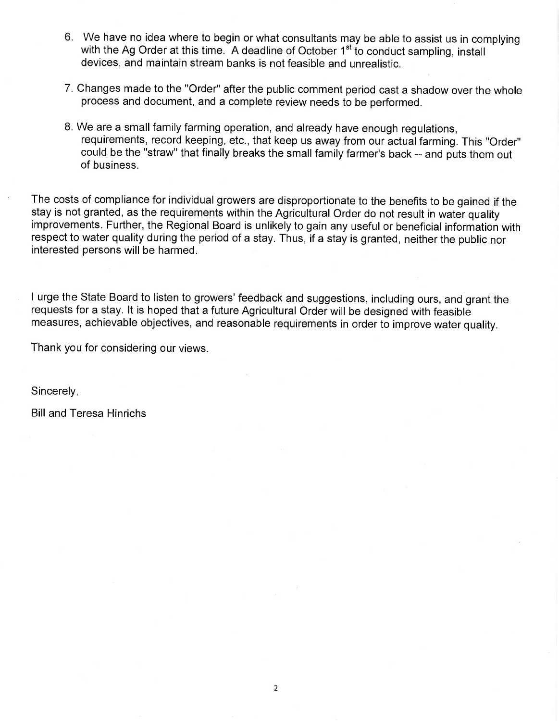- 6. We have no idea where to begin or what consultants may be able to assist us in complying with the Ag Order at this time. A deadline of October 1<sup>st</sup> to conduct sampling, install devices, and maintain stream banks is not feasible and unrealistic.
- 7. Changes made to the "Order" after the public comment period cast a shadow over the whole process and document, and a complete review needs to be performed.
- 8. We are a small family farming operation, and already have enough regulations, requirements, record keeping, etc., that keep us away from our actual farming. This "Order" could be the "straw" that finally breaks the small family farmer's back -- and puts them out of business.

The costs of compliance for individual growers are disproportionate to the benefits to be gained if the stay is not granted, as the requirements within the Agricultural Order do not result in water quality improvements. Further, the Regional Board is unlikely to gain any useful or beneficial information with respect to water quality during the period of a stay. Thus, if a stay is granted, neither the public nor interested persons will be harmed.

I urge the State Board to listen to growers' feedback and suggestions, including ours, and grant the requests for a stay. It is hoped that a future Agricultural Order will be designed with feasible measures, achievable objectives, and reasonable requirements in order to improve water quality.

Thank you for considering our views.

Sincerely,

Bill and Teresa Hinrichs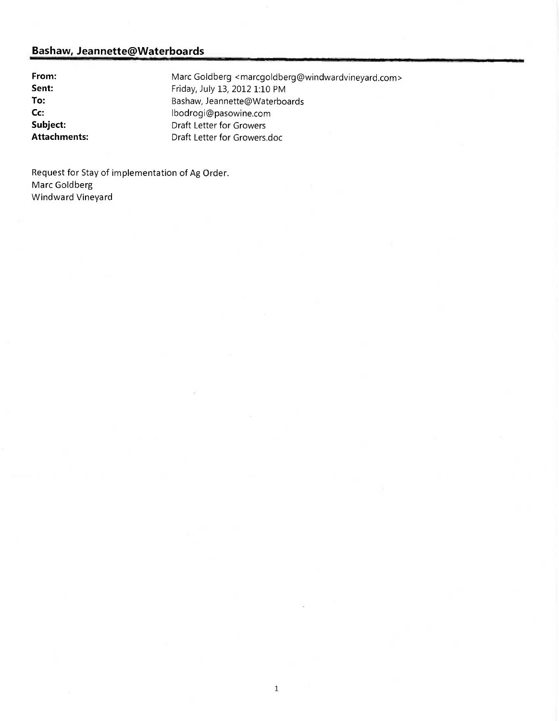From: Marc Goldberg <marcgoldberg@windwardvineyard.com> Sent: Friday, July 13, 2012 1:10 PM To: Bashaw, Jeannette@Waterboards Cc: lbodrogi@pasowine.com Subject: Draft Letter for Growers Attachments: Draft Letter for Growers.doc

Request for Stay of implementation of Ag Order. Marc Goldberg Windward Vineyard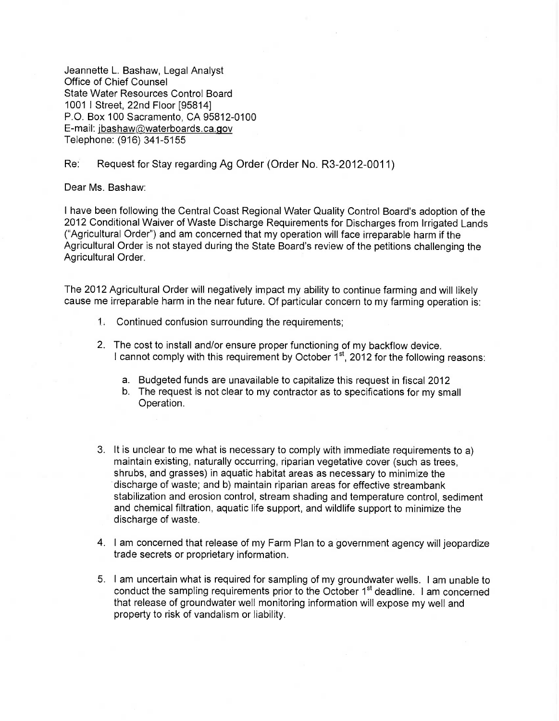Jeannette L. Bashaw, Legal Analyst Office of Chief Counsel State Water Resources Control Board 1001 I Street, 22nd Floor [95814] P.O. Box 100 Sacramento, CA 95812-0100 E-mail: jbashaw@waterboards.ca.gov Telephone: (916) 341-5155

### Re: Request for Stay regarding Ag Order (Order No. R3-2012-0011)

Dear Ms. Bashaw:

I have been following the Central Coast Regional Water Quality Control Board's adoption of the 2012 Conditional Waiver of Waste Discharge Requirements for Discharges from Irrigated Lands ("Agricultural Order") and am concerned that my operation will face irreparable harm if the Agricultural Order is not stayed during the State Board's review of the petitions challenging the Agricultural Order.

The 2012 Agricultural Order will negatively impact my ability to continue farming and will likely cause me irreparable harm in the near future. Of particular concern to my farming operation is:

- 1. Continued confusion surrounding the requirements;
- 2. The cost to install and/or ensure proper functioning of my backflow device. I cannot comply with this requirement by October  $1<sup>st</sup>$ , 2012 for the following reasons:
	- a. Budgeted funds are unavailable to capitalize this request in fiscal 2012
	- b. The request is not clear to my contractor as to specifications for my small Operation.
- 3. It is unclear to me what is necessary to comply with immediate requirements to a) maintain existing, naturally occurring, riparian vegetative cover (such as trees, shrubs, and grasses) in aquatic habitat areas as necessary to minimize the discharge of waste; and b) maintain riparian areas for effective streambank stabilization and erosion control, stream shading and temperature control, sediment and chemical filtration, aquatic life support, and wildlife support to minimize the discharge of waste.
- 4. I am concerned that release of my Farm Plan to a government agency will jeopardize trade secrets or proprietary information.
- 5. I am uncertain what is required for sampling of my groundwater wells. I am unable to conduct the sampling requirements prior to the October 1<sup>st</sup> deadline. I am concerned that release of groundwater well monitoring information will expose my well and property to risk of vandalism or liability.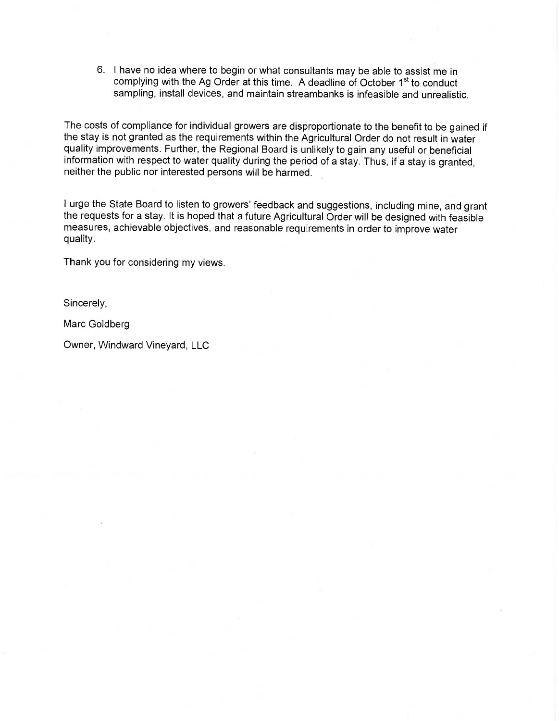6. I have no idea where to begin or what consultants may be able to assist me in complying with the Ag Order at this time. A deadline of October 1<sup>st</sup> to conduct sampling, install devices, and maintain streambanks is infeasible and unrealistic.

The costs of compliance for individual growers are disproportionate to the benefit to be gained if the stay is not granted as the requirements within the Agricultural Order do not result in water quality improvements. Further, the Regional Board is unlikely to gain any useful or beneficial information with respect to water quality during the period of a stay. Thus, if a stay is granted, neither the public nor interested persons will be harmed.

I urge the State Board to listen to growers' feedback and suggestions, including mine, and grant the requests for a stay. It is hoped that a future Agricultural Order will be designed with feasible measures, achievable objectives, and reasonable requirements in order to improve water quality.

Thank you for considering my views.

Sincerely,

Marc Goldberg

Owner, Windward Vineyard, LLC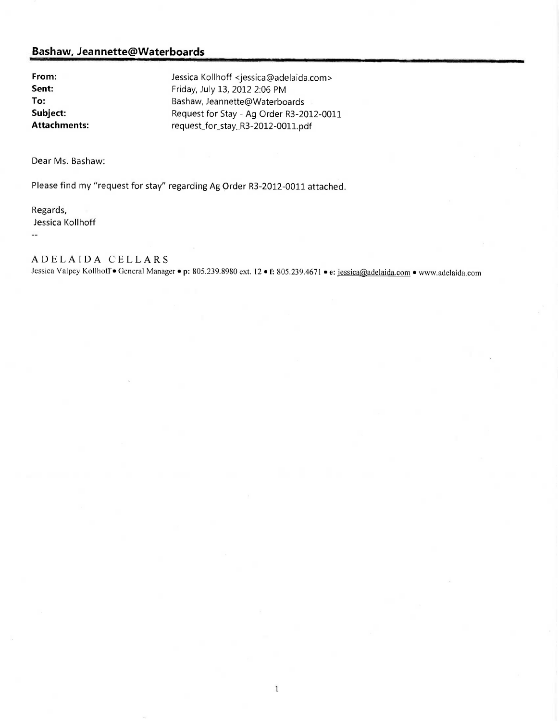From: Jessica Kollhoff <jessica@adelaida.com> Sent: Friday, July 13, 2012 2:06 PM To: Bashaw, Jeannette@Waterboards Subject: Request for Stay - Ag Order R3-2012-0011<br>
Attachments: equest for stay R3-2012-0011.ndf request\_for\_stay\_R3-2012-0011.pdf

Dear Ms. Bashaw:

Please find my "request for stay" regarding Ag Order R3-2012-0011 attached.

Regards, Jessica Kollhoff  $\overline{\phantom{a}}$ 

# ADELAIDA CELLARS

Jessica Valpey Kollhoff · General Manager · p: 805.239.8980 ext. 12 · f: 805.239.4671 · e: jessica@adelaida.com · www.adelaida.com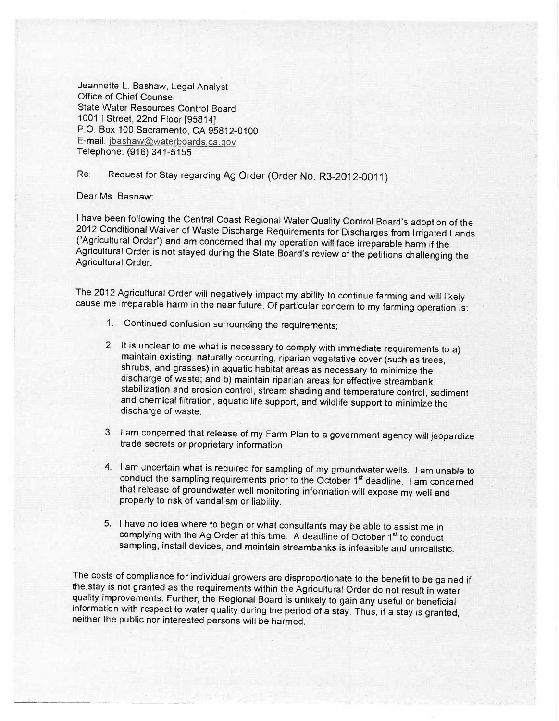Jeannette L. Bashaw, Legal Analyst Office of Chief Counsel State Water Resources Control Board 1001 I Street, 22nd Floor [95814] P.O. Box 100 Sacramento, CA 95812-0100 E-mail: ibashaw@waterboards.ca.gov Telephone: (916) 341-5155

Re: Request for Stay regarding Ag Order (Order No. R3-2012-0011)

Dear Ms. Bashaw:

I have been following the Central Coast Regional Water Quality Control Board's adoption of the 2012 Conditional Waiver of Waste Discharge Requirements for Discharges from Irrigated Lands<br>("Agricultural Order") and am concerned that my operation will face irreparable harm if the Agricultural Order is not stayed during the State Board's review of the petitions challenging the Agricultural Order.

The 2012 Agricultural Order will negatively impact my ability to continue farming and will likely cause me irreparable harm in the near future. Of particular concern to my farming operation is:

- 1. Continued confusion surrounding the requirements;
- 2. It is unclear to me what is necessary to comply with immediate requirements to a) maintain existing, naturally occurring, riparian vegetative cover (such as trees, shrubs, and grasses) in aquatic habitat areas as necess discharge of waste; and b) maintain riparian areas for effective streambank stabilization and erosion control, stream shading and temperature control, sediment and chemical filtration, aquatic life support, and wildlife support to minimize the discharge of waste.
- 3. I am concerned that release of my Farm Plan to a government agency will jeopardize trade secrets or proprietary information.
- 4. I am uncertain what is required for sampling of my groundwater wells. I am unable to conduct the sampling requirements prior to the October 1<sup>st</sup> deadline. I am concerned that release of groundwater well monitoring information will expose my well and property to risk of vandalism or liability.
- 5. I have no idea where to begin or what consultants may be able to assist me in complying with the Ag Order at this time. A deadline of October 1<sup>st</sup> to conduct sampling, install devices, and maintain streambanks is infeasible and unrealistic.

The costs of compliance for individual growers are disproportionate to the benefit to be gained if the stay is not granted as the requirements within the Agricultural Order do not result in water quality improvements. Further, the Regional Board is unlikely to gain any useful or beneficial information with respect to water quality during the period of a stay. Thus, if a stay is granted, neither the public nor interested persons will be harmed.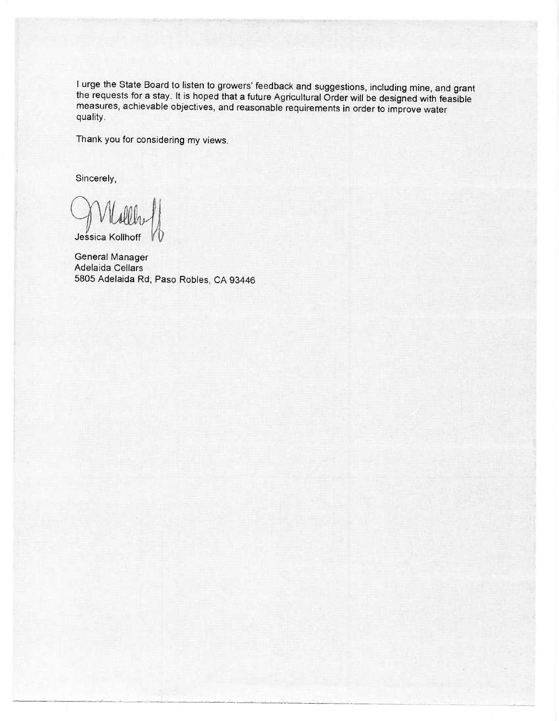I urge the State Board to listen to growers' feedback and suggestions, including mine, and grant the requests for a stay. It is hoped that a future Agricultural Order will be designed with feasible measures, achievable objectives, and reasonable requirements in order to improve water quality.

Thank you for considering my views.

Sincerely,

Jessica Kollhoff

General Manager Adelaida Cellars 5805 Adelaida Rd, Paso Robles, CA 93446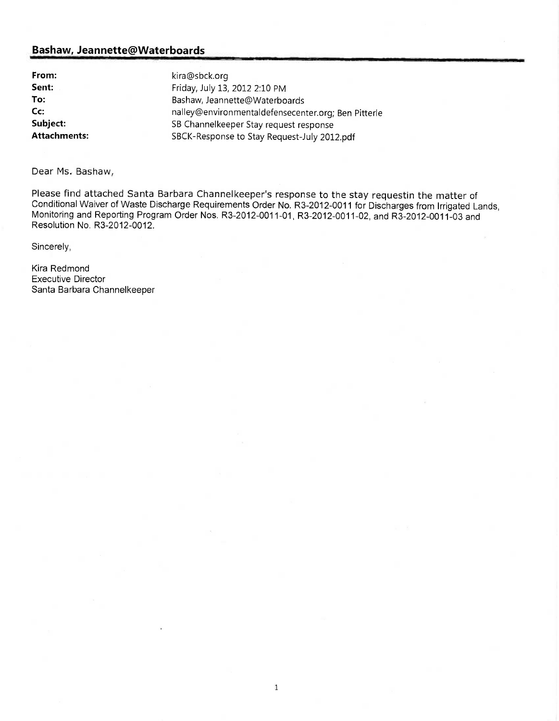From: kira@sbck.org

**Sent:** Friday, July 13, 2012 2:10 PM To: Bashaw, Jeannette@Waterboards Cc: nalley@environmentaldefensecenter.org; Ben Pitterle Subject: Subject: SB Channelkeeper Stay request response Attachments: SBCK-Response to Stay Request-July 2012.pdf

Dear Ms. Bashaw,

Please find attached Santa Barbara Channelkeeper's response to the stay requestin the matter of Conditional Waiver of Waste Discharge Requirements Order No. R3-2012-0011 for Discharges from Irrigated Lands, Monitoring and Reporting Program Order Nos. R3-2012-0011-01, R3-2012-0011-02, and R3-2012-0011-03 and Resolution No. R3-2012-0012.

1

Sincerely,

Kira Redmond Executive Director Santa Barbara Channelkeeper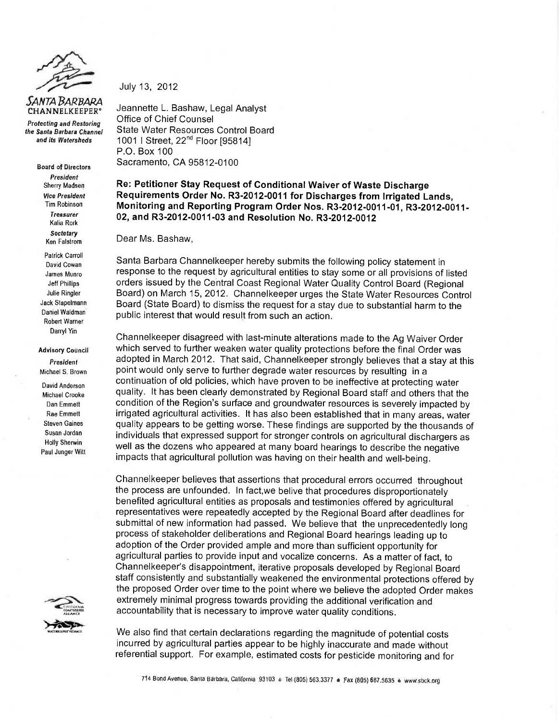

Protecting and Restoring the Santa Barbara Channel and its Watersheds

> Board of Directors President Sherry Madsen Vice President Tim Robinson Treasurer Kalia Rork **Sectetary** Ken Falstrom

Patrick Carroll David Cowan James Munro Jeff Phillips Julie Ringler Jack Stapelmann Daniel Waldman' Robert Warner Darryl Yin

Advisory Council President Michael S. Brown

David Anderson Michael Crooke Dan Emmett Rae Emmett Steven Gaines Susan Jordan Holly Sherwin Paul Junger Witt



July 13, 2012

Jeannette L. Bashaw, Legal Analyst Office of Chief Counsel State Water Resources Control Board 1001 | Street, 22<sup>nd</sup> Floor [95814] P.O. Box 100 Sacramento, CA 95812-0100

Re: Petitioner Stay Request of Conditional Waiver of Waste Discharge Requirements Order No. R3-2012-0011 for Discharges from Irrigated Lands, Monitoring and Reporting Program Order Nos. R3-2012-0011-01, R3-2012-0011-02, and R3-2012-0011-03 and Resolution No. R3-2012-0012

Dear Ms. Bashaw,

Santa Barbara Channelkeeper hereby submits the following policy statement in response to the request by agricultural entities to stay some or all provisions of listed orders issued by the Central Coast Regional Water Quality Control Board (Regional Board) on March 15, 2012. Channelkeeper urges the State Water Resources Control Board (State Board) to dismiss the request for a stay due to substantial harm to the public interest that would result from such an action.

Channelkeeper disagreed with last-minute alterations made to the Ag Waiver Order which served to further weaken water quality protections before the final Order was adopted in March 2012. That said, Channelkeeper strongly believes that a stay at this point would only serve to further degrade water resources by resulting in a continuation of old policies, which have proven to be ineffective at protecting water quality. It has been clearly demonstrated by Regional Board staff and others that the condition of the Region's surface and groundwater resources is severely impacted by irrigated agricultural activities. It has also been established that in many areas, water quality appears to be getting worse. These findings are supported by the thousands of individuals that expressed support for stronger controls on agricultural dischargers as well as the dozens who appeared at many board hearings to describe the negative impacts that agricultural pollution was having on their health and well-being.

Channelkeeper believes that assertions that procedural errors occurred throughout the process are unfounded. In fact,we belive that procedures disproportionately benefited agricultural entities as proposals and testimonies offered by agricultural representatives were repeatedly accepted by the Regional Board after deadlines for submittal of new information had passed. We believe that the unprecedentedly long process of stakeholder deliberations and Regional Board hearings leading up to adoption of the Order provided ample and more than sufficient opportunity for agricultural parties to provide input and vocalize concerns. As a matter of fact, to Channelkeeper's disappointment, iterative proposals developed by Regional Board staff consistently and substantially weakened the environmental protections offered by the proposed Order over time to the point where we believe the adopted Order makes extremely minimal progress towards providing the additional verification and accountability that is necessary to improve water quality conditions.

We also find that certain declarations regarding the magnitude of potential costs incurred by agricultural parties appear to be highly inaccurate and made without referential support. For example, estimated costs for pesticide monitoring and for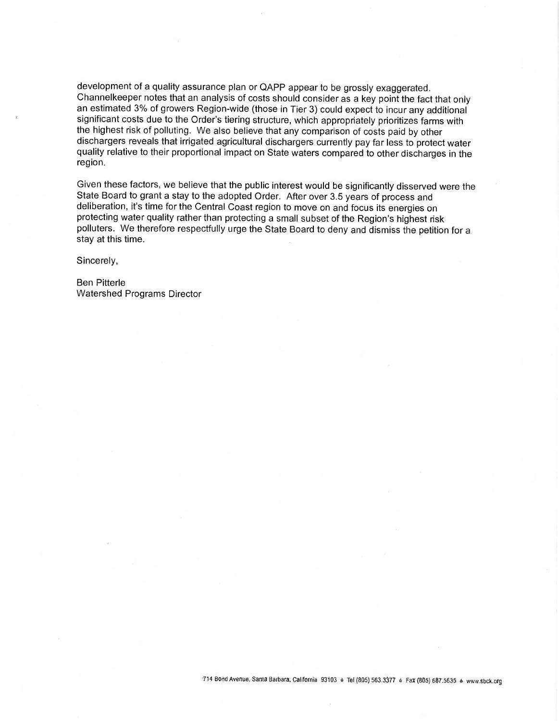development of a quality assurance plan or QAPP appear to be grossly exaggerated. Channelkeeper notes that an analysis of costs should consider as a key point the fact that only an estimated 3% of growers Region-wide (those in Tier 3) could expect to incur any additional significant costs due to the Order's tiering structure, which appropriately prioritizes farms with the highest risk of polluting. We also believe that any comparison of costs paid by other dischargers reveals that irrigated agricultural dischargers currently pay far less to protect water quality relative to their proportional impact on State waters compared to other discharges in the region.

Given these factors, we believe that the public interest would be significantly disserved were the State Board to grant a stay to the adopted Order. After over 3.5 years of process and deliberation, it's time for the Central Coast region to move on and focus its energies on protecting water quality rather than protecting a small subset of the Region's highest risk polluters. We therefore respectfully urge the State Board to deny and dismiss the petition for a stay at this time.

Sincerely,

Ben Pitterle Watershed Programs Director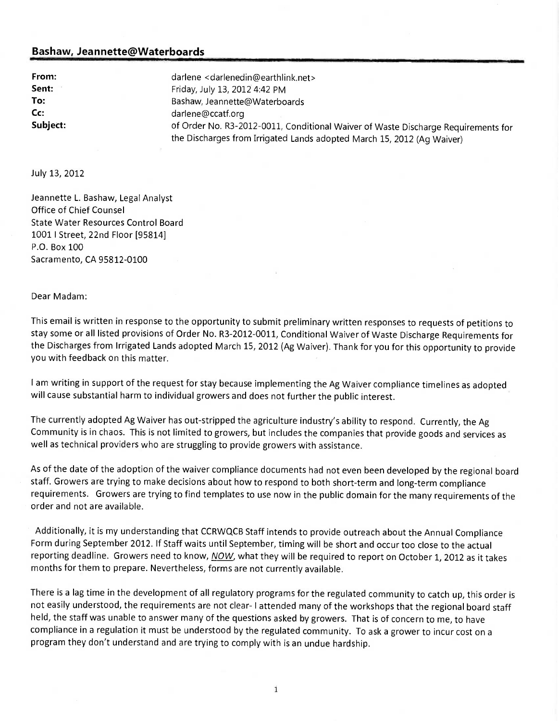From: darlene <darlenedin@earthlink.net> **Sent:** Friday, July 13, 2012 4:42 PM To: Bashaw, Jeannette@Waterboards Cc: darlene@ccatf.org Subject: **once and Subject:** of Order No. R3-2012-0011, Conditional Waiver of Waste Discharge Requirements for the Discharges from Irrigated Lands adopted March 15, 2012 (Ag Waiver)

July 13, 2012

Jeannette L. Bashaw, Legal Analyst Office of Chief Counsel State Water Resources Control Board 1001 I Street, 22nd Floor [95814] P.O. Box 100 Sacramento, CA 95812-0100

Dear Madam:

This email is written in response to the opportunity to submit preliminary written responses to requests of petitions to stay some or all listed provisions of Order No. R3-2012-0011, Conditional Waiver of Waste Discharge Requirements for the Discharges from Irrigated Lands adopted March 15, 2012 (Ag Waiver). Thank for you for this opportunity to provide you with feedback on this matter.

I am writing in support of the request for stay because implementing the Ag Waiver compliance timelines as adopted will cause substantial harm to individual growers and does not further the public interest.

The currently adopted Ag Waiver has out-stripped the agriculture industry's ability to respond. Currently, the Ag Community is in chaos. This is not limited to growers, but includes the companies that provide goods and services as well as technical providers who are struggling to provide growers with assistance.

As of the date of the adoption of the waiver compliance documents had not even been developed by the regional board staff. Growers are trying to make decisions about how to respond to both short-term and long-term compliance requirements. Growers are trying to find templates to use now in the public domain for the many requirements of the order and not are available.

Additionally, it is my understanding that CCRWQCB Staff intends to provide outreach about the Annual Compliance Form during September 2012. If Staff waits until September, timing will be short and occur too close to the actual reporting deadline. Growers need to know, NOW, what they will be required to report on October 1, 2012 as it takes months for them to prepare. Nevertheless, forms are not currently available.

There is a lag time in the development of all regulatory programs for the regulated community to catch up, this order is not easily understood, the requirements are not clear- I attended many of the workshops that the regional board staff held, the staff was unable to answer many of the questions asked by growers. That is of concern to me, to have compliance in a regulation it must be understood by the regulated community. To ask a grower to incur cost on a program they don't understand and are trying to comply with is an undue hardship.